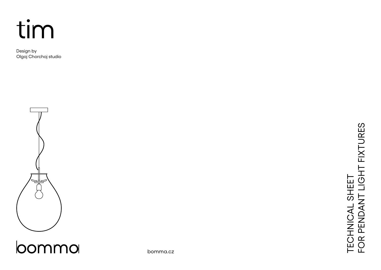

Design by Olgoj Chorchoj studio



loommo

bomma.cz